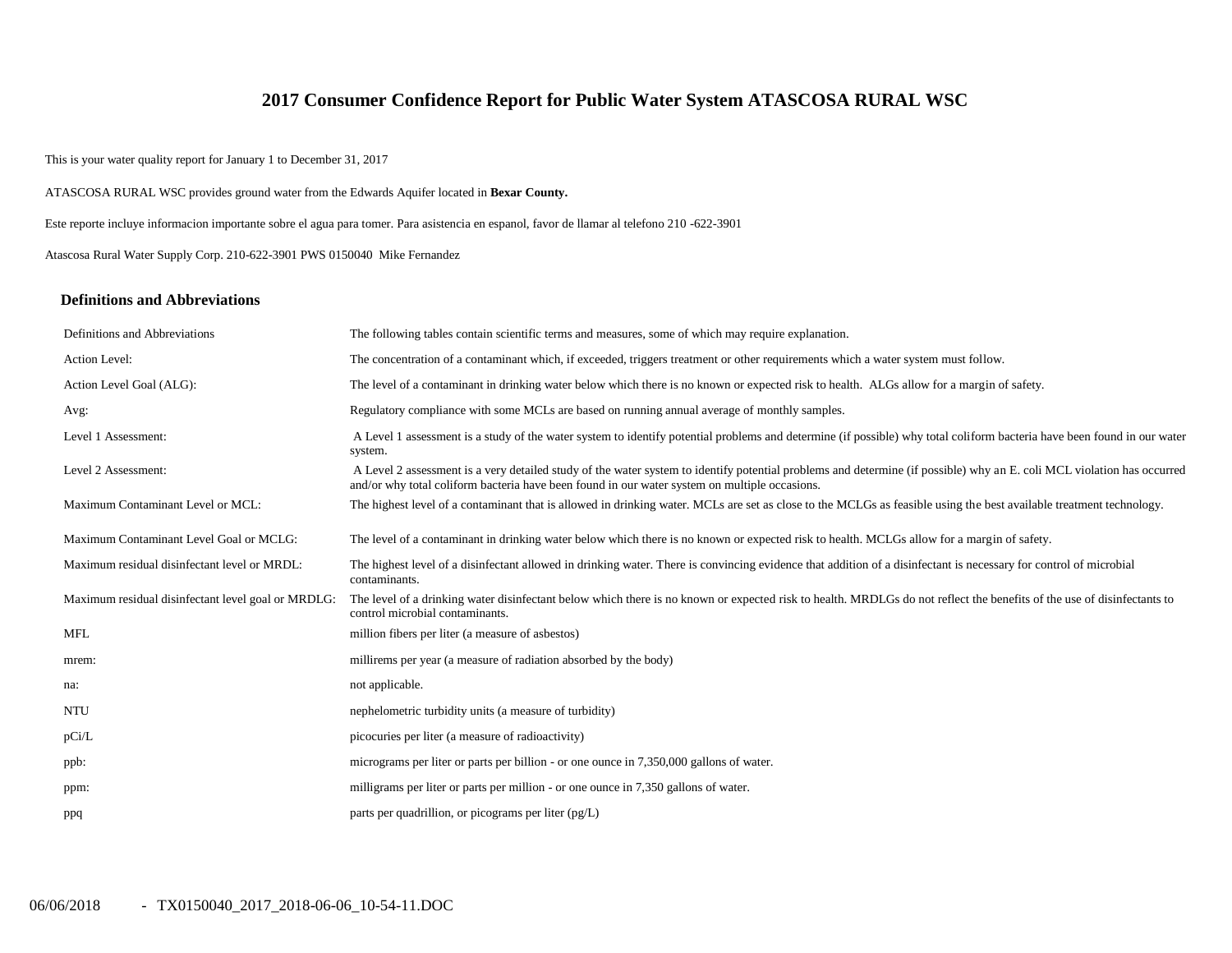# **2017 Consumer Confidence Report for Public Water System ATASCOSA RURAL WSC**

This is your water quality report for January 1 to December 31, 2017

ATASCOSA RURAL WSC provides ground water from the Edwards Aquifer located in **Bexar County.**

Este reporte incluye informacion importante sobre el agua para tomer. Para asistencia en espanol, favor de llamar al telefono 210 -622-3901

Atascosa Rural Water Supply Corp. 210-622-3901 PWS 0150040 Mike Fernandez

#### **Definitions and Abbreviations**

| Definitions and Abbreviations                      | The following tables contain scientific terms and measures, some of which may require explanation.                                                                                                                                                                      |  |  |  |  |  |
|----------------------------------------------------|-------------------------------------------------------------------------------------------------------------------------------------------------------------------------------------------------------------------------------------------------------------------------|--|--|--|--|--|
| Action Level:                                      | The concentration of a contaminant which, if exceeded, triggers treatment or other requirements which a water system must follow.                                                                                                                                       |  |  |  |  |  |
| Action Level Goal (ALG):                           | The level of a contaminant in drinking water below which there is no known or expected risk to health. ALGs allow for a margin of safety.                                                                                                                               |  |  |  |  |  |
| Avg:                                               | Regulatory compliance with some MCLs are based on running annual average of monthly samples.                                                                                                                                                                            |  |  |  |  |  |
| Level 1 Assessment:                                | A Level 1 assessment is a study of the water system to identify potential problems and determine (if possible) why total coliform bacteria have been found in our water<br>system.                                                                                      |  |  |  |  |  |
| Level 2 Assessment:                                | A Level 2 assessment is a very detailed study of the water system to identify potential problems and determine (if possible) why an E. coli MCL violation has occurred<br>and/or why total coliform bacteria have been found in our water system on multiple occasions. |  |  |  |  |  |
| Maximum Contaminant Level or MCL:                  | The highest level of a contaminant that is allowed in drinking water. MCLs are set as close to the MCLGs as feasible using the best available treatment technology.                                                                                                     |  |  |  |  |  |
| Maximum Contaminant Level Goal or MCLG:            | The level of a contaminant in drinking water below which there is no known or expected risk to health. MCLGs allow for a margin of safety.                                                                                                                              |  |  |  |  |  |
| Maximum residual disinfectant level or MRDL:       | The highest level of a disinfectant allowed in drinking water. There is convincing evidence that addition of a disinfectant is necessary for control of microbial<br>contaminants.                                                                                      |  |  |  |  |  |
| Maximum residual disinfectant level goal or MRDLG: | The level of a drinking water disinfectant below which there is no known or expected risk to health. MRDLGs do not reflect the benefits of the use of disinfectants to<br>control microbial contaminants.                                                               |  |  |  |  |  |
| <b>MFL</b>                                         | million fibers per liter (a measure of asbestos)                                                                                                                                                                                                                        |  |  |  |  |  |
| mrem:                                              | millirems per year (a measure of radiation absorbed by the body)                                                                                                                                                                                                        |  |  |  |  |  |
| na:                                                | not applicable.                                                                                                                                                                                                                                                         |  |  |  |  |  |
| <b>NTU</b>                                         | nephelometric turbidity units (a measure of turbidity)                                                                                                                                                                                                                  |  |  |  |  |  |
| pCi/L                                              | picocuries per liter (a measure of radioactivity)                                                                                                                                                                                                                       |  |  |  |  |  |
| ppb:                                               | micrograms per liter or parts per billion - or one ounce in 7,350,000 gallons of water.                                                                                                                                                                                 |  |  |  |  |  |
| ppm:                                               | milligrams per liter or parts per million - or one ounce in 7,350 gallons of water.                                                                                                                                                                                     |  |  |  |  |  |
| ppq                                                | parts per quadrillion, or picograms per liter $(pg/L)$                                                                                                                                                                                                                  |  |  |  |  |  |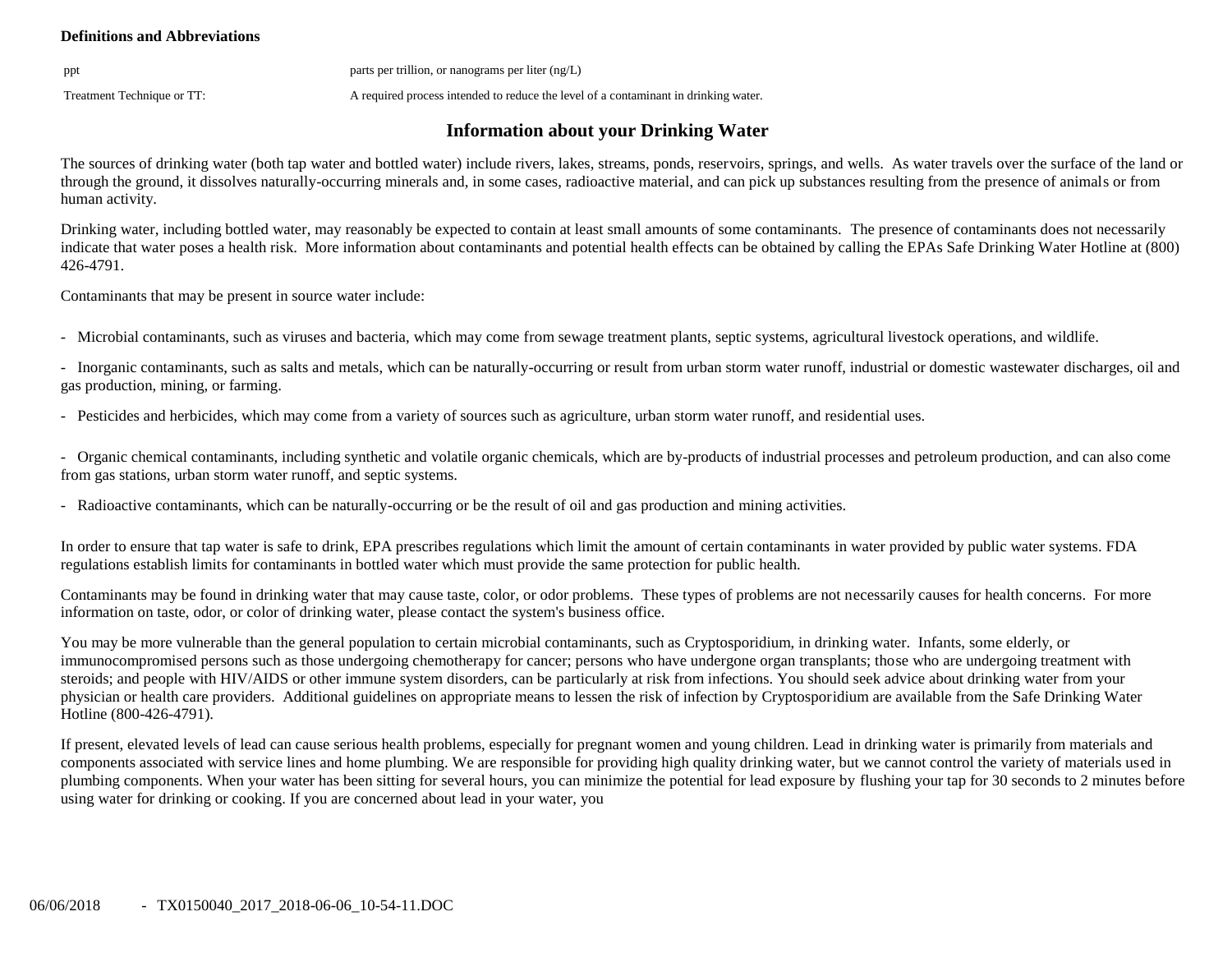### **Definitions and Abbreviations**

ppt parts per trillion, or nanograms per liter (ng/L)

Treatment Technique or TT: A required process intended to reduce the level of a contaminant in drinking water.

# **Information about your Drinking Water**

The sources of drinking water (both tap water and bottled water) include rivers, lakes, streams, ponds, reservoirs, springs, and wells. As water travels over the surface of the land or through the ground, it dissolves naturally-occurring minerals and, in some cases, radioactive material, and can pick up substances resulting from the presence of animals or from human activity.

Drinking water, including bottled water, may reasonably be expected to contain at least small amounts of some contaminants. The presence of contaminants does not necessarily indicate that water poses a health risk. More information about contaminants and potential health effects can be obtained by calling the EPAs Safe Drinking Water Hotline at (800) 426-4791.

Contaminants that may be present in source water include:

- Microbial contaminants, such as viruses and bacteria, which may come from sewage treatment plants, septic systems, agricultural livestock operations, and wildlife.

- Inorganic contaminants, such as salts and metals, which can be naturally-occurring or result from urban storm water runoff, industrial or domestic wastewater discharges, oil and gas production, mining, or farming.

- Pesticides and herbicides, which may come from a variety of sources such as agriculture, urban storm water runoff, and residential uses.

- Organic chemical contaminants, including synthetic and volatile organic chemicals, which are by-products of industrial processes and petroleum production, and can also come from gas stations, urban storm water runoff, and septic systems.

- Radioactive contaminants, which can be naturally-occurring or be the result of oil and gas production and mining activities.

In order to ensure that tap water is safe to drink, EPA prescribes regulations which limit the amount of certain contaminants in water provided by public water systems. FDA regulations establish limits for contaminants in bottled water which must provide the same protection for public health.

Contaminants may be found in drinking water that may cause taste, color, or odor problems. These types of problems are not necessarily causes for health concerns. For more information on taste, odor, or color of drinking water, please contact the system's business office.

You may be more vulnerable than the general population to certain microbial contaminants, such as Cryptosporidium, in drinking water. Infants, some elderly, or immunocompromised persons such as those undergoing chemotherapy for cancer; persons who have undergone organ transplants; those who are undergoing treatment with steroids; and people with HIV/AIDS or other immune system disorders, can be particularly at risk from infections. You should seek advice about drinking water from your physician or health care providers. Additional guidelines on appropriate means to lessen the risk of infection by Cryptosporidium are available from the Safe Drinking Water Hotline (800-426-4791).

If present, elevated levels of lead can cause serious health problems, especially for pregnant women and young children. Lead in drinking water is primarily from materials and components associated with service lines and home plumbing. We are responsible for providing high quality drinking water, but we cannot control the variety of materials used in plumbing components. When your water has been sitting for several hours, you can minimize the potential for lead exposure by flushing your tap for 30 seconds to 2 minutes before using water for drinking or cooking. If you are concerned about lead in your water, you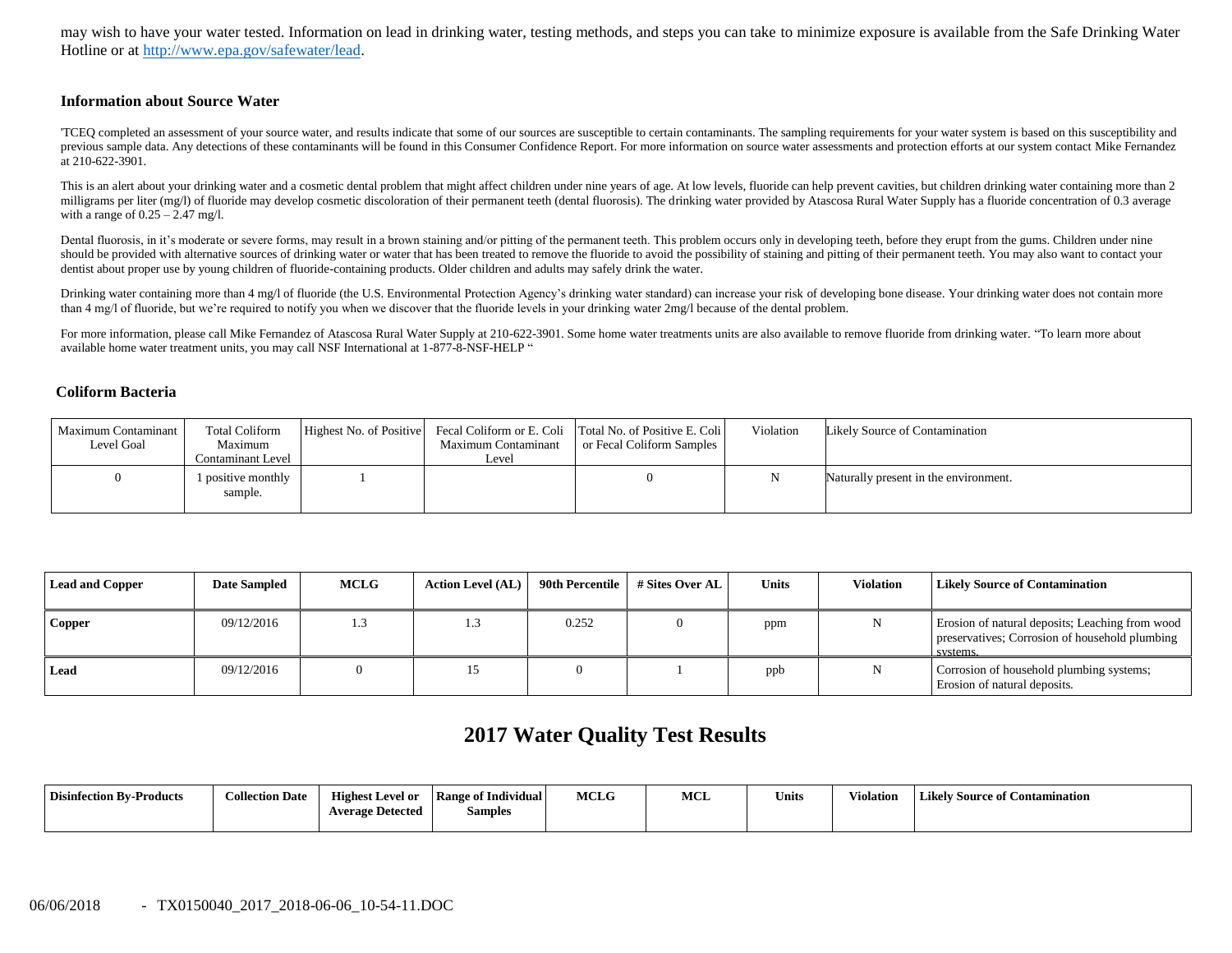may wish to have your water tested. Information on lead in drinking water, testing methods, and steps you can take to minimize exposure is available from the Safe Drinking Water Hotline or at [http://www.epa.gov/safewater/lead.](http://www.epa.gov/safewater/lead)

#### **Information about Source Water**

'TCEQ completed an assessment of your source water, and results indicate that some of our sources are susceptible to certain contaminants. The sampling requirements for your water system is based on this susceptibility and previous sample data. Any detections of these contaminants will be found in this Consumer Confidence Report. For more information on source water assessments and protection efforts at our system contact Mike Fernandez at 210-622-3901.

This is an alert about your drinking water and a cosmetic dental problem that might affect children under nine years of age. At low levels, fluoride can help prevent cavities, but children drinking water containing more th milligrams per liter (mg/l) of fluoride may develop cosmetic discoloration of their permanent teeth (dental fluorosis). The drinking water provided by Atascosa Rural Water Supply has a fluoride concentration of 0.3 average with a range of  $0.25 - 2.47$  mg/l.

Dental fluorosis, in it's moderate or severe forms, may result in a brown staining and/or pitting of the permanent teeth. This problem occurs only in developing teeth, before they erupt from the gums. Children under nine should be provided with alternative sources of drinking water or water that has been treated to remove the fluoride to avoid the possibility of staining and pitting of their permanent teeth. You may also want to contact yo dentist about proper use by young children of fluoride-containing products. Older children and adults may safely drink the water.

Drinking water containing more than 4 mg/l of fluoride (the U.S. Environmental Protection Agency's drinking water standard) can increase your risk of developing bone disease. Your drinking water does not contain more than 4 mg/l of fluoride, but we're required to notify you when we discover that the fluoride levels in your drinking water 2mg/l because of the dental problem.

For more information, please call Mike Fernandez of Atascosa Rural Water Supply at 210-622-3901. Some home water treatments units are also available to remove fluoride from drinking water. "To learn more about available home water treatment units, you may call NSF International at 1-877-8-NSF-HELP "

#### **Coliform Bacteria**

| Maximum Contaminant<br>Level Goal | <b>Total Coliform</b><br>Maximum<br>Contaminant Level | Maximum Contaminant<br>Level | Highest No. of Positive Fecal Coliform or E. Coli Total No. of Positive E. Coli<br>or Fecal Coliform Samples | Violation | Likely Source of Contamination        |
|-----------------------------------|-------------------------------------------------------|------------------------------|--------------------------------------------------------------------------------------------------------------|-----------|---------------------------------------|
|                                   | 1 positive monthly<br>sample.                         |                              |                                                                                                              |           | Naturally present in the environment. |

| <b>Lead and Copper</b> | <b>Date Sampled</b> | <b>MCLG</b> | <b>Action Level (AL)</b> | 90th Percentile | # Sites Over AL | <b>Units</b> | <b>Violation</b> | Likely Source of Contamination                                                                                |
|------------------------|---------------------|-------------|--------------------------|-----------------|-----------------|--------------|------------------|---------------------------------------------------------------------------------------------------------------|
| Copper                 | 09/12/2016          | 1.3         |                          | 0.252           |                 | ppm          |                  | Erosion of natural deposits; Leaching from wood<br>preservatives; Corrosion of household plumbing<br>systems. |
| Lead                   | 09/12/2016          |             |                          |                 |                 | ppb          |                  | Corrosion of household plumbing systems;<br>Erosion of natural deposits.                                      |

# **2017 Water Quality Test Results**

| <b>Disinfection By-Products</b> | <b>Collection Date</b> | <b>Highest Level or</b><br><b>Average Detected</b> | Range of Individual<br>Samples | <b>MCLG</b> | MCI | <b>Units</b> | Violation | <b>Likely Source of Contamination</b> |
|---------------------------------|------------------------|----------------------------------------------------|--------------------------------|-------------|-----|--------------|-----------|---------------------------------------|
|                                 |                        |                                                    |                                |             |     |              |           |                                       |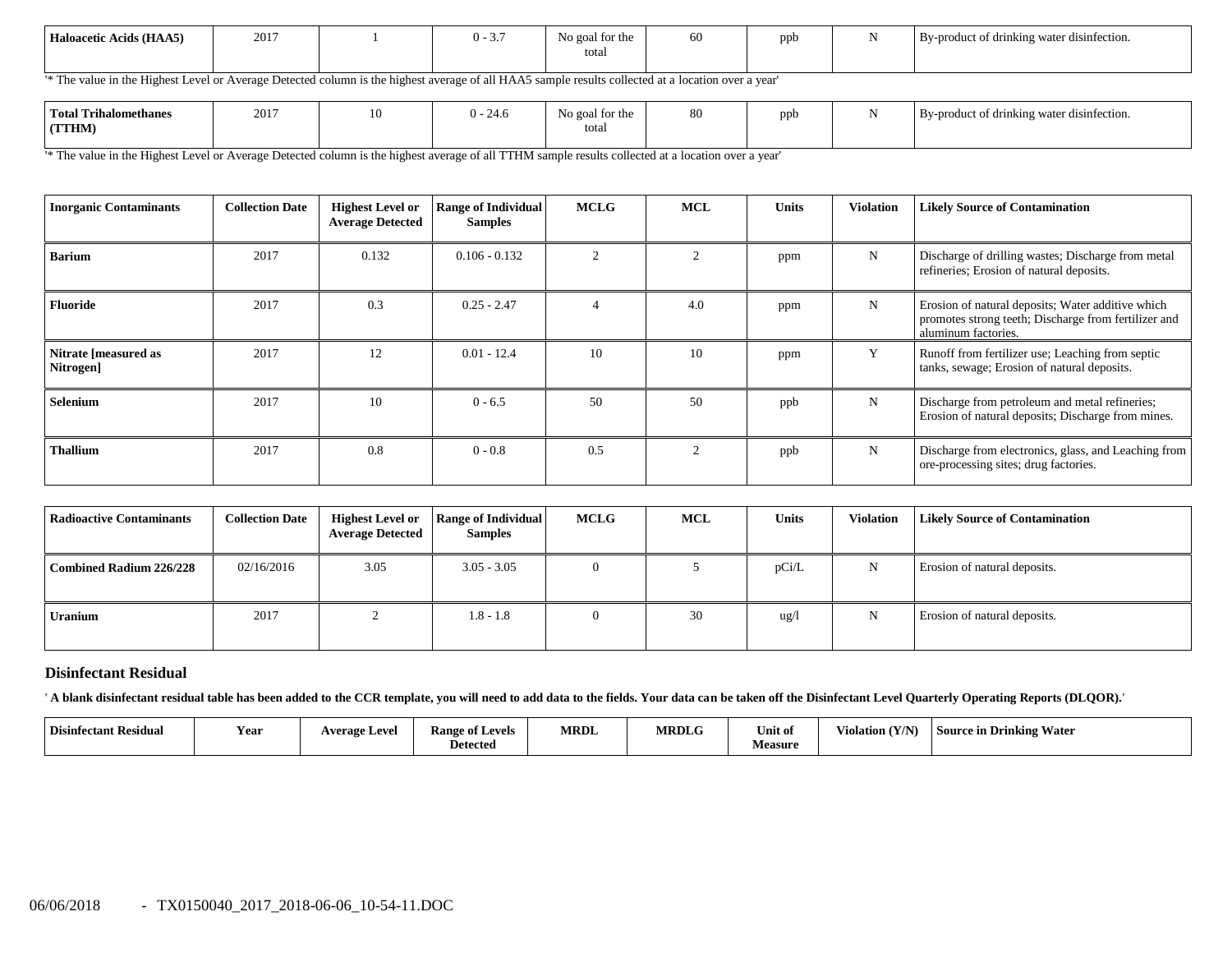| Haloacetic Acids (HAA5) | 2017 |  | $\sim$<br>0 -<br>. ب | $\sim$<br>No goal for the<br>total | oc | ppb |  | $\cdots$<br>By-product of drinking water disinfection. |
|-------------------------|------|--|----------------------|------------------------------------|----|-----|--|--------------------------------------------------------|
|-------------------------|------|--|----------------------|------------------------------------|----|-----|--|--------------------------------------------------------|

'\* The value in the Highest Level or Average Detected column is the highest average of all HAA5 sample results collected at a location over a year'

'\* The value in the Highest Level or Average Detected column is the highest average of all TTHM sample results collected at a location over a year'

| <b>Inorganic Contaminants</b>     | <b>Collection Date</b> | <b>Highest Level or</b><br><b>Average Detected</b> | <b>Range of Individual</b><br><b>Samples</b> | <b>MCLG</b> | <b>MCL</b> | <b>Units</b> | <b>Violation</b> | <b>Likely Source of Contamination</b>                                                                                            |
|-----------------------------------|------------------------|----------------------------------------------------|----------------------------------------------|-------------|------------|--------------|------------------|----------------------------------------------------------------------------------------------------------------------------------|
| <b>Barium</b>                     | 2017                   | 0.132                                              | $0.106 - 0.132$                              |             | 2          | ppm          | N                | Discharge of drilling wastes; Discharge from metal<br>refineries; Erosion of natural deposits.                                   |
| <b>Fluoride</b>                   | 2017                   | 0.3                                                | $0.25 - 2.47$                                |             | 4.0        | ppm          | N                | Erosion of natural deposits; Water additive which<br>promotes strong teeth; Discharge from fertilizer and<br>aluminum factories. |
| Nitrate [measured as<br>Nitrogen] | 2017                   | 12                                                 | $0.01 - 12.4$                                | 10          | 10         | ppm          | Y                | Runoff from fertilizer use; Leaching from septic<br>tanks, sewage; Erosion of natural deposits.                                  |
| Selenium                          | 2017                   | 10                                                 | $0 - 6.5$                                    | 50          | 50         | ppb          | N                | Discharge from petroleum and metal refineries;<br>Erosion of natural deposits; Discharge from mines.                             |
| <b>Thallium</b>                   | 2017                   | 0.8                                                | $0 - 0.8$                                    | 0.5         | 2          | ppb          | N                | Discharge from electronics, glass, and Leaching from<br>ore-processing sites; drug factories.                                    |

| <b>Radioactive Contaminants</b> | <b>Collection Date</b> | <b>Highest Level or</b><br><b>Average Detected</b> | <b>Range of Individual</b><br><b>Samples</b> | <b>MCLG</b> | <b>MCL</b> | <b>Units</b> | <b>Violation</b> | <b>Likely Source of Contamination</b> |
|---------------------------------|------------------------|----------------------------------------------------|----------------------------------------------|-------------|------------|--------------|------------------|---------------------------------------|
| Combined Radium 226/228         | 02/16/2016             | 3.05                                               | $3.05 - 3.05$                                | $\Omega$    |            | pCi/L        | N                | Erosion of natural deposits.          |
| <b>Uranium</b>                  | 2017                   |                                                    | $1.8 - 1.8$                                  | $\Omega$    | 30         | ug/l         |                  | Erosion of natural deposits.          |

## **Disinfectant Residual**

' **A blank disinfectant residual table has been added to the CCR template, you will need to add data to the fields. Your data can be taken off the Disinfectant Level Quarterly Operating Reports (DLQOR).**'

| <b>Disinfec</b><br>ctant Residual | Year<br>Average Level | $\sim$<br><b>Range of Levels</b><br>–<br>Detected | <b>MRDL</b> | <b>MRDL</b> | Unit of<br>Measure | $($ V $I$ N $)$<br>$-1$<br>Violation (Y/ | <b>Source in Drinking Water</b> |
|-----------------------------------|-----------------------|---------------------------------------------------|-------------|-------------|--------------------|------------------------------------------|---------------------------------|
|-----------------------------------|-----------------------|---------------------------------------------------|-------------|-------------|--------------------|------------------------------------------|---------------------------------|